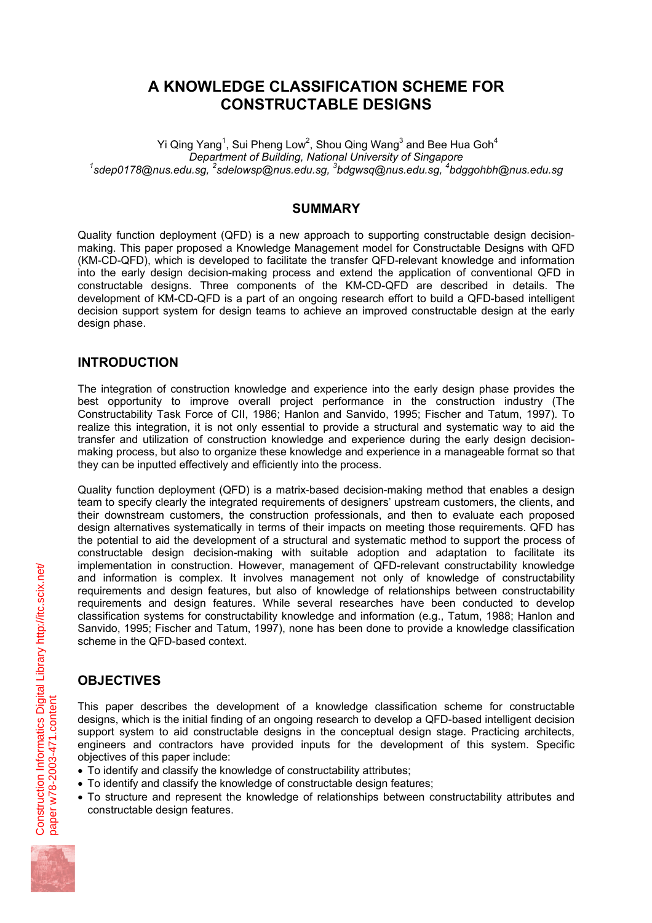# **A KNOWLEDGE CLASSIFICATION SCHEME FOR CONSTRUCTABLE DESIGNS**

Yi Qing Yang<sup>1</sup>, Sui Pheng Low<sup>2</sup>, Shou Qing Wang<sup>3</sup> and Bee Hua Goh<sup>4</sup> **Department of Building, National University of Singapore**  $s$ dep0178@nus.edu.sg, <sup>2</sup>sdelowsp@nus.edu.sg, <sup>3</sup>bdgwsq@nus.edu.sg, <sup>4</sup>bdggohbh@nus.edu.sg

### **SUMMARY**

Quality function deployment (QFD) is a new approach to supporting constructable design decisionmaking. This paper proposed a Knowledge Management model for Constructable Designs with QFD (KM-CD-QFD), which is developed to facilitate the transfer QFD-relevant knowledge and information into the early design decision-making process and extend the application of conventional QFD in constructable designs. Three components of the KM-CD-QFD are described in details. The development of KM-CD-QFD is a part of an ongoing research effort to build a QFD-based intelligent decision support system for design teams to achieve an improved constructable design at the early design phase.

## **INTRODUCTION**

The integration of construction knowledge and experience into the early design phase provides the best opportunity to improve overall project performance in the construction industry (The Constructability Task Force of CII, 1986; Hanlon and Sanvido, 1995; Fischer and Tatum, 1997). To realize this integration, it is not only essential to provide a structural and systematic way to aid the transfer and utilization of construction knowledge and experience during the early design decisionmaking process, but also to organize these knowledge and experience in a manageable format so that they can be inputted effectively and efficiently into the process.

Quality function deployment (QFD) is a matrix-based decision-making method that enables a design team to specify clearly the integrated requirements of designers' upstream customers, the clients, and their downstream customers, the construction professionals, and then to evaluate each proposed design alternatives systematically in terms of their impacts on meeting those requirements. QFD has the potential to aid the development of a structural and systematic method to support the process of constructable design decision-making with suitable adoption and adaptation to facilitate its implementation in construction. However, management of QFD-relevant constructability knowledge and information is complex. It involves management not only of knowledge of constructability requirements and design features, but also of knowledge of relationships between constructability requirements and design features. While several researches have been conducted to develop classification systems for constructability knowledge and information (e.g., Tatum, 1988; Hanlon and Sanvido, 1995; Fischer and Tatum, 1997), none has been done to provide a knowledge classification scheme in the QFD-based context.

# **OBJECTIVES**

This paper describes the development of a knowledge classification scheme for constructable designs, which is the initial finding of an ongoing research to develop a QFD-based intelligent decision support system to aid constructable designs in the conceptual design stage. Practicing architects, engineers and contractors have provided inputs for the development of this system. Specific objectives of this paper include:

- To identify and classify the knowledge of constructability attributes;
- To identify and classify the knowledge of constructable design features;
- To structure and represent the knowledge of relationships between constructability attributes and constructable design features.

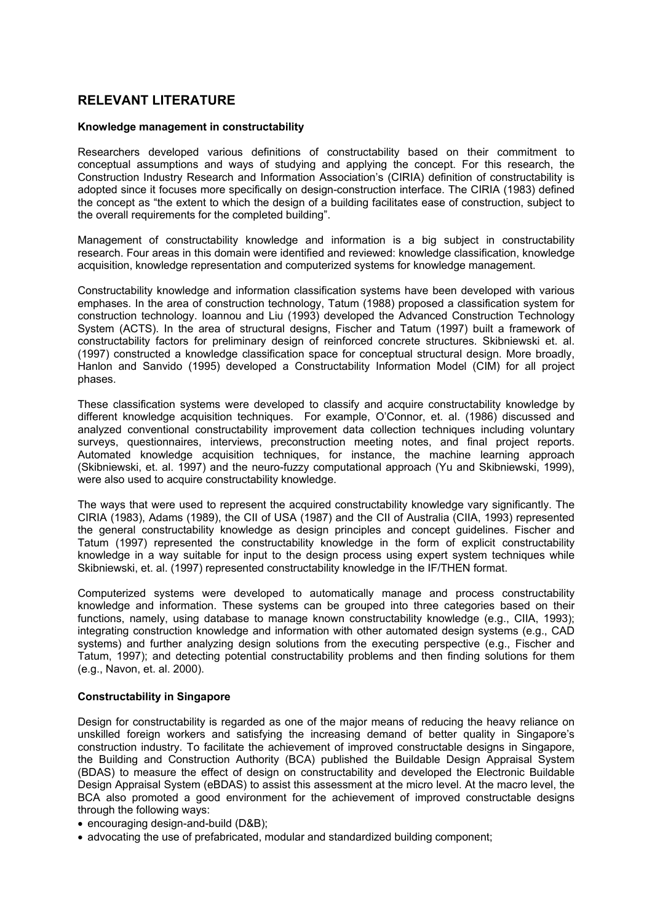## **RELEVANT LITERATURE**

#### **Knowledge management in constructability**

Researchers developed various definitions of constructability based on their commitment to conceptual assumptions and ways of studying and applying the concept. For this research, the Construction Industry Research and Information Association's (CIRIA) definition of constructability is adopted since it focuses more specifically on design-construction interface. The CIRIA (1983) defined the concept as "the extent to which the design of a building facilitates ease of construction, subject to the overall requirements for the completed building".

Management of constructability knowledge and information is a big subject in constructability research. Four areas in this domain were identified and reviewed: knowledge classification, knowledge acquisition, knowledge representation and computerized systems for knowledge management.

Constructability knowledge and information classification systems have been developed with various emphases. In the area of construction technology, Tatum (1988) proposed a classification system for construction technology. Ioannou and Liu (1993) developed the Advanced Construction Technology System (ACTS). In the area of structural designs, Fischer and Tatum (1997) built a framework of constructability factors for preliminary design of reinforced concrete structures. Skibniewski et. al. (1997) constructed a knowledge classification space for conceptual structural design. More broadly, Hanlon and Sanvido (1995) developed a Constructability Information Model (CIM) for all project phases.

These classification systems were developed to classify and acquire constructability knowledge by different knowledge acquisition techniques. For example, O'Connor, et. al. (1986) discussed and analyzed conventional constructability improvement data collection techniques including voluntary surveys, questionnaires, interviews, preconstruction meeting notes, and final project reports. Automated knowledge acquisition techniques, for instance, the machine learning approach (Skibniewski, et. al. 1997) and the neuro-fuzzy computational approach (Yu and Skibniewski, 1999), were also used to acquire constructability knowledge.

The ways that were used to represent the acquired constructability knowledge vary significantly. The CIRIA (1983), Adams (1989), the CII of USA (1987) and the CII of Australia (CIIA, 1993) represented the general constructability knowledge as design principles and concept guidelines. Fischer and Tatum (1997) represented the constructability knowledge in the form of explicit constructability knowledge in a way suitable for input to the design process using expert system techniques while Skibniewski, et. al. (1997) represented constructability knowledge in the IF/THEN format.

Computerized systems were developed to automatically manage and process constructability knowledge and information. These systems can be grouped into three categories based on their functions, namely, using database to manage known constructability knowledge (e.g., CIIA, 1993); integrating construction knowledge and information with other automated design systems (e.g., CAD systems) and further analyzing design solutions from the executing perspective (e.g., Fischer and Tatum, 1997); and detecting potential constructability problems and then finding solutions for them (e.g., Navon, et. al. 2000).

#### **Constructability in Singapore**

Design for constructability is regarded as one of the major means of reducing the heavy reliance on unskilled foreign workers and satisfying the increasing demand of better quality in Singapore's construction industry. To facilitate the achievement of improved constructable designs in Singapore, the Building and Construction Authority (BCA) published the Buildable Design Appraisal System (BDAS) to measure the effect of design on constructability and developed the Electronic Buildable Design Appraisal System (eBDAS) to assist this assessment at the micro level. At the macro level, the BCA also promoted a good environment for the achievement of improved constructable designs through the following ways:

• encouraging design-and-build (D&B);

• advocating the use of prefabricated, modular and standardized building component;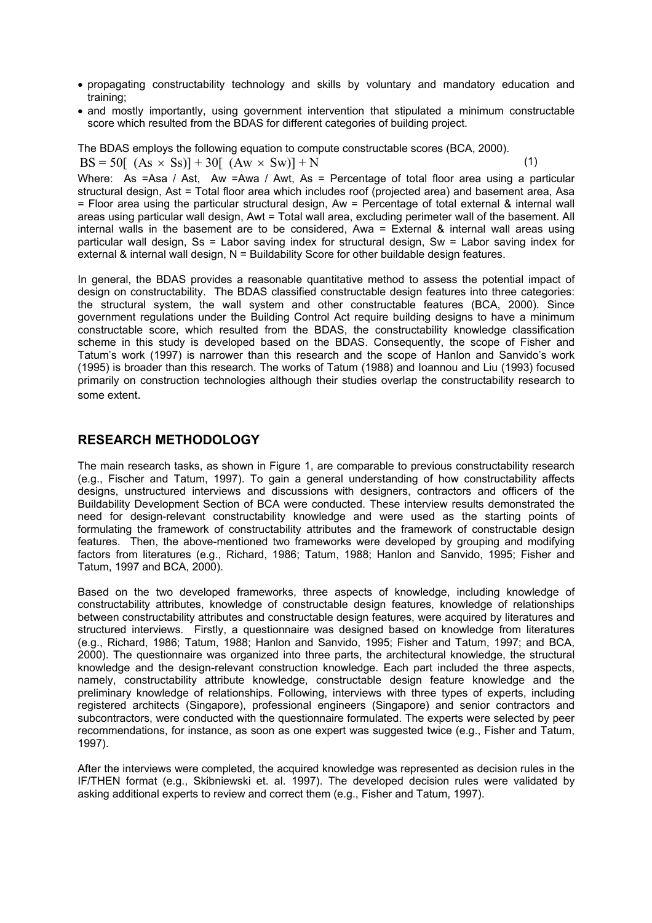- propagating constructability technology and skills by voluntary and mandatory education and training;
- and mostly importantly, using government intervention that stipulated a minimum constructable score which resulted from the BDAS for different categories of building project.

The BDAS employs the following equation to compute constructable scores (BCA, 2000).  $BS = 50[ (As \times Ss)] + 30[ (Aw \times Sw)] + N$  (1)

Where: As =Asa / Ast, Aw =Awa / Awt, As = Percentage of total floor area using a particular structural design, Ast = Total floor area which includes roof (projected area) and basement area, Asa = Floor area using the particular structural design, Aw = Percentage of total external & internal wall areas using particular wall design, Awt = Total wall area, excluding perimeter wall of the basement. All internal walls in the basement are to be considered, Awa = External & internal wall areas using particular wall design, Ss = Labor saving index for structural design, Sw = Labor saving index for external & internal wall design, N = Buildability Score for other buildable design features.

In general, the BDAS provides a reasonable quantitative method to assess the potential impact of design on constructability. The BDAS classified constructable design features into three categories: the structural system, the wall system and other constructable features (BCA, 2000). Since government regulations under the Building Control Act require building designs to have a minimum constructable score, which resulted from the BDAS, the constructability knowledge classification scheme in this study is developed based on the BDAS. Consequently, the scope of Fisher and Tatum's work (1997) is narrower than this research and the scope of Hanlon and Sanvido's work (1995) is broader than this research. The works of Tatum (1988) and Ioannou and Liu (1993) focused primarily on construction technologies although their studies overlap the constructability research to some extent.

## **RESEARCH METHODOLOGY**

The main research tasks, as shown in Figure 1, are comparable to previous constructability research (e.g., Fischer and Tatum, 1997). To gain a general understanding of how constructability affects designs, unstructured interviews and discussions with designers, contractors and officers of the Buildability Development Section of BCA were conducted. These interview results demonstrated the need for design-relevant constructability knowledge and were used as the starting points of formulating the framework of constructability attributes and the framework of constructable design features. Then, the above-mentioned two frameworks were developed by grouping and modifying factors from literatures (e.g., Richard, 1986; Tatum, 1988; Hanlon and Sanvido, 1995; Fisher and Tatum, 1997 and BCA, 2000).

Based on the two developed frameworks, three aspects of knowledge, including knowledge of constructability attributes, knowledge of constructable design features, knowledge of relationships between constructability attributes and constructable design features, were acquired by literatures and structured interviews. Firstly, a questionnaire was designed based on knowledge from literatures (e.g., Richard, 1986; Tatum, 1988; Hanlon and Sanvido, 1995; Fisher and Tatum, 1997; and BCA, 2000). The questionnaire was organized into three parts, the architectural knowledge, the structural knowledge and the design-relevant construction knowledge. Each part included the three aspects, namely, constructability attribute knowledge, constructable design feature knowledge and the preliminary knowledge of relationships. Following, interviews with three types of experts, including registered architects (Singapore), professional engineers (Singapore) and senior contractors and subcontractors, were conducted with the questionnaire formulated. The experts were selected by peer recommendations, for instance, as soon as one expert was suggested twice (e.g., Fisher and Tatum, 1997).

After the interviews were completed, the acquired knowledge was represented as decision rules in the IF/THEN format (e.g., Skibniewski et. al. 1997). The developed decision rules were validated by asking additional experts to review and correct them (e.g., Fisher and Tatum, 1997).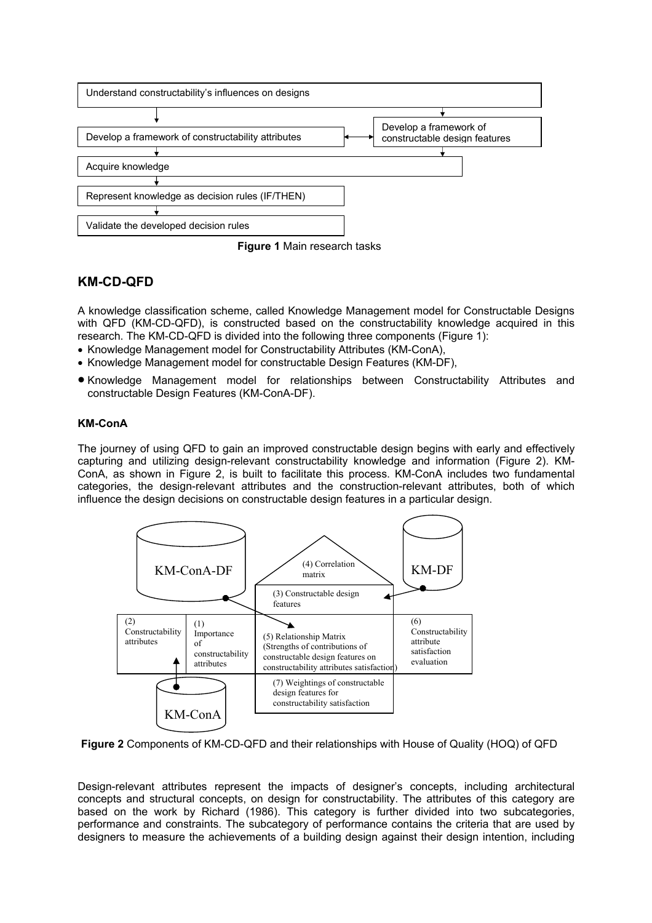



# **KM-CD-QFD**

A knowledge classification scheme, called Knowledge Management model for Constructable Designs with QFD (KM-CD-QFD), is constructed based on the constructability knowledge acquired in this research. The KM-CD-QFD is divided into the following three components (Figure 1):

- Knowledge Management model for Constructability Attributes (KM-ConA),
- Knowledge Management model for constructable Design Features (KM-DF),
- Knowledge Management model for relationships between Constructability Attributes and constructable Design Features (KM-ConA-DF).

### **KM-ConA**

The journey of using QFD to gain an improved constructable design begins with early and effectively capturing and utilizing design-relevant constructability knowledge and information (Figure 2). KM-ConA, as shown in Figure 2, is built to facilitate this process. KM-ConA includes two fundamental categories, the design-relevant attributes and the construction-relevant attributes, both of which influence the design decisions on constructable design features in a particular design.



**Figure 2** Components of KM-CD-QFD and their relationships with House of Quality (HOQ) of QFD

Design-relevant attributes represent the impacts of designer's concepts, including architectural concepts and structural concepts, on design for constructability. The attributes of this category are based on the work by Richard (1986). This category is further divided into two subcategories, performance and constraints. The subcategory of performance contains the criteria that are used by designers to measure the achievements of a building design against their design intention, including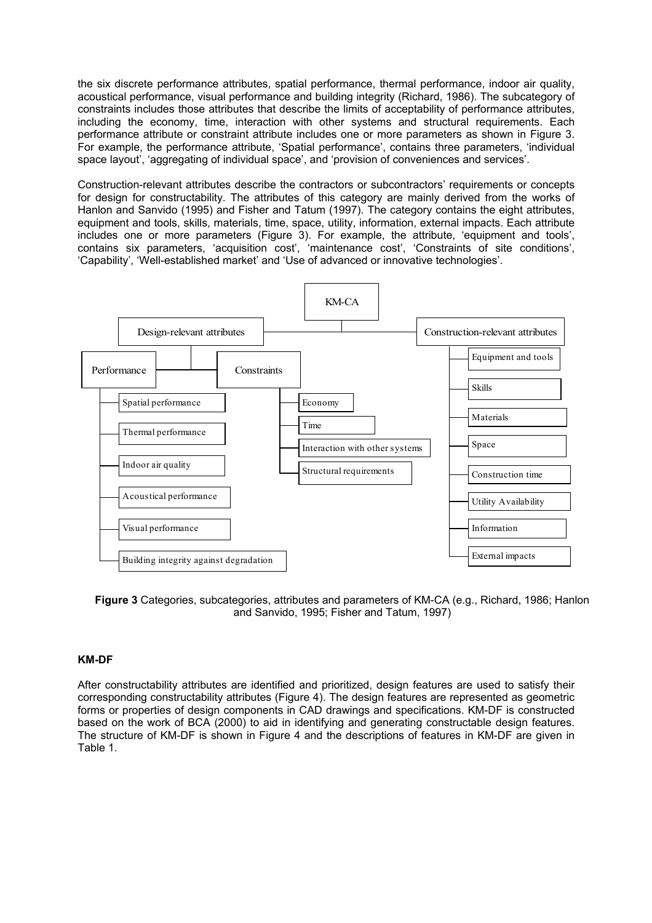the six discrete performance attributes, spatial performance, thermal performance, indoor air quality, acoustical performance, visual performance and building integrity (Richard, 1986). The subcategory of constraints includes those attributes that describe the limits of acceptability of performance attributes, including the economy, time, interaction with other systems and structural requirements. Each performance attribute or constraint attribute includes one or more parameters as shown in Figure 3. For example, the performance attribute, 'Spatial performance', contains three parameters, 'individual space layout', 'aggregating of individual space', and 'provision of conveniences and services'.

Construction-relevant attributes describe the contractors or subcontractors' requirements or concepts for design for constructability. The attributes of this category are mainly derived from the works of Hanlon and Sanvido (1995) and Fisher and Tatum (1997). The category contains the eight attributes, equipment and tools, skills, materials, time, space, utility, information, external impacts. Each attribute includes one or more parameters (Figure 3). For example, the attribute, 'equipment and tools', contains six parameters, 'acquisition cost', 'maintenance cost', 'Constraints of site conditions', 'Capability', 'Well-established market' and 'Use of advanced or innovative technologies'.



**Figure 3** Categories, subcategories, attributes and parameters of KM-CA (e.g., Richard, 1986; Hanlon and Sanvido, 1995; Fisher and Tatum, 1997)

#### **KM-DF**

After constructability attributes are identified and prioritized, design features are used to satisfy their corresponding constructability attributes (Figure 4). The design features are represented as geometric forms or properties of design components in CAD drawings and specifications. KM-DF is constructed based on the work of BCA (2000) to aid in identifying and generating constructable design features. The structure of KM-DF is shown in Figure 4 and the descriptions of features in KM-DF are given in Table 1.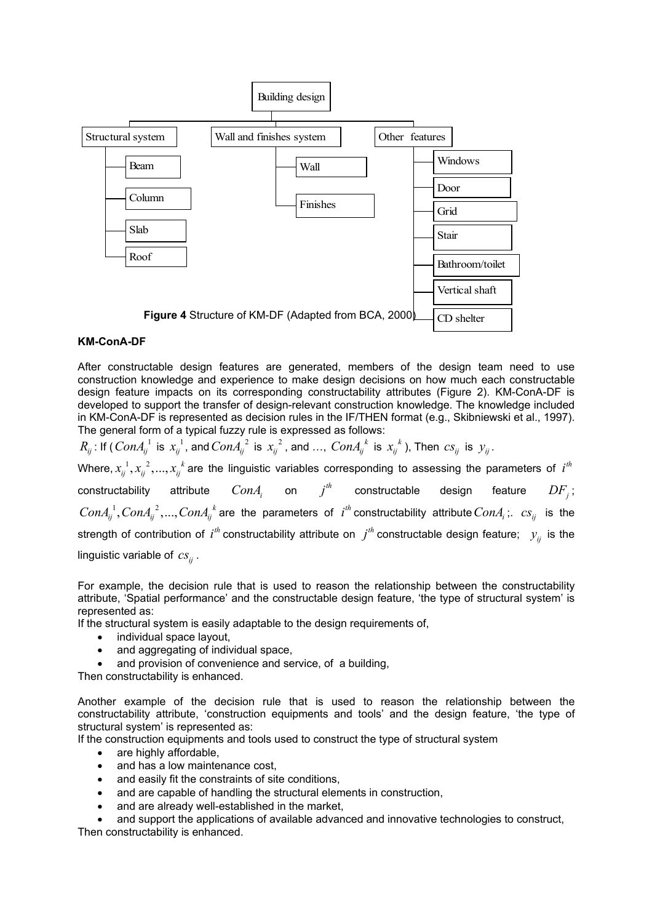

#### **KM-ConA-DF**

After constructable design features are generated, members of the design team need to use construction knowledge and experience to make design decisions on how much each constructable design feature impacts on its corresponding constructability attributes (Figure 2). KM-ConA-DF is developed to support the transfer of design-relevant construction knowledge. The knowledge included in KM-ConA-DF is represented as decision rules in the IF/THEN format (e.g., Skibniewski et al., 1997). The general form of a typical fuzzy rule is expressed as follows:

 $R_{ij}$ : If (  $ConA_{ij}^{-1}$  is  $x_{ij}^{-1}$ , and  $ConA_{ij}^{-2}$  is  $x_{ij}^{-2}$ , and …,  $ConA_{ij}^{-k}$  is  $x_{ij}^{-k}$  ), Then  $cs_{ij}$  is  $y_{ij}$ . Where,  $x_{ij}^{-1}$ ,  $x_{ij}^{-2}$ , ...,  $x_{ij}^{-k}$  are the linguistic variables corresponding to assessing the parameters of  $i^{th}$  $\textsf{const}$ ructability attribute  $ConA_i$  on  $j^{th}$  constructable design feature  $DF_j\,;$  $ConA_{ij}^{-1}, ConA_{ij}^{-2},...,ConA_{ij}^{-k}$  are the parameters of  $i^{th}$  constructability attribute  $ConA_i$ ;.  $cs_{ij}$  is the strength of contribution of  $i^{th}$  constructability attribute on  $j^{th}$  constructable design feature;  $y_{ij}$  is the linguistic variable of  $cs_{ii}$ .

For example, the decision rule that is used to reason the relationship between the constructability attribute, 'Spatial performance' and the constructable design feature, 'the type of structural system' is represented as:

If the structural system is easily adaptable to the design requirements of,

- individual space layout,
- and aggregating of individual space,
- and provision of convenience and service, of a building,

Then constructability is enhanced.

Another example of the decision rule that is used to reason the relationship between the constructability attribute, 'construction equipments and tools' and the design feature, 'the type of structural system' is represented as:

If the construction equipments and tools used to construct the type of structural system

- are highly affordable.
- and has a low maintenance cost.
- and easily fit the constraints of site conditions,
- and are capable of handling the structural elements in construction,
- and are already well-established in the market.

• and support the applications of available advanced and innovative technologies to construct, Then constructability is enhanced.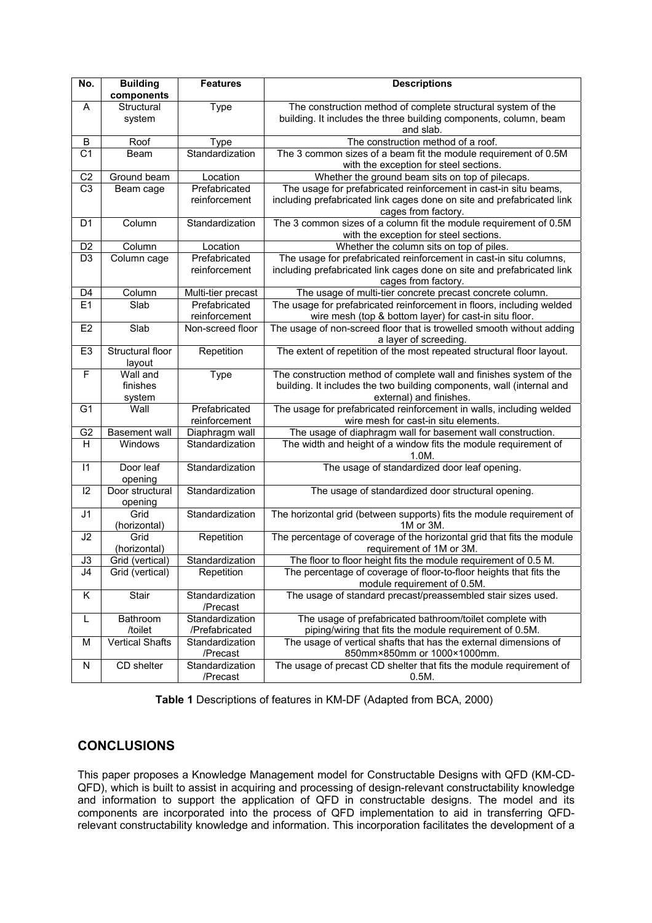| No.             | <b>Building</b><br>components  | <b>Features</b>                   | <b>Descriptions</b>                                                                                                                                                     |
|-----------------|--------------------------------|-----------------------------------|-------------------------------------------------------------------------------------------------------------------------------------------------------------------------|
| A               | Structural<br>system           | Type                              | The construction method of complete structural system of the<br>building. It includes the three building components, column, beam<br>and slab.                          |
| B               | Roof                           | Type                              | The construction method of a roof.                                                                                                                                      |
| $\overline{C1}$ | Beam                           | Standardization                   | The 3 common sizes of a beam fit the module requirement of 0.5M<br>with the exception for steel sections.                                                               |
| C <sub>2</sub>  | Ground beam                    | Location                          | Whether the ground beam sits on top of pilecaps.                                                                                                                        |
| C <sub>3</sub>  | Beam cage                      | Prefabricated<br>reinforcement    | The usage for prefabricated reinforcement in cast-in situ beams,<br>including prefabricated link cages done on site and prefabricated link<br>cages from factory.       |
| D1              | Column                         | Standardization                   | The 3 common sizes of a column fit the module requirement of 0.5M<br>with the exception for steel sections.                                                             |
| D <sub>2</sub>  | Column                         | Location                          | Whether the column sits on top of piles.                                                                                                                                |
| $\overline{D3}$ | Column cage                    | Prefabricated<br>reinforcement    | The usage for prefabricated reinforcement in cast-in situ columns,<br>including prefabricated link cages done on site and prefabricated link<br>cages from factory.     |
| D <sub>4</sub>  | Column                         | Multi-tier precast                | The usage of multi-tier concrete precast concrete column.                                                                                                               |
| E1              | Slab                           | Prefabricated<br>reinforcement    | The usage for prefabricated reinforcement in floors, including welded<br>wire mesh (top & bottom layer) for cast-in situ floor.                                         |
| E <sub>2</sub>  | Slab                           | Non-screed floor                  | The usage of non-screed floor that is trowelled smooth without adding<br>a layer of screeding.                                                                          |
| E <sub>3</sub>  | Structural floor<br>layout     | Repetition                        | The extent of repetition of the most repeated structural floor layout.                                                                                                  |
| F               | Wall and<br>finishes<br>system | Type                              | The construction method of complete wall and finishes system of the<br>building. It includes the two building components, wall (internal and<br>external) and finishes. |
| G <sub>1</sub>  | Wall                           | Prefabricated<br>reinforcement    | The usage for prefabricated reinforcement in walls, including welded<br>wire mesh for cast-in situ elements.                                                            |
| G <sub>2</sub>  | <b>Basement</b> wall           | Diaphragm wall                    | The usage of diaphragm wall for basement wall construction.                                                                                                             |
| H               | Windows                        | Standardization                   | The width and height of a window fits the module requirement of<br>$1.0M$ .                                                                                             |
| 11              | Door leaf<br>opening           | Standardization                   | The usage of standardized door leaf opening.                                                                                                                            |
| 12              | Door structural<br>opening     | Standardization                   | The usage of standardized door structural opening.                                                                                                                      |
| J <sub>1</sub>  | Grid<br>(horizontal)           | Standardization                   | The horizontal grid (between supports) fits the module requirement of<br>1M or 3M.                                                                                      |
| J2              | Grid<br>(horizontal)           | Repetition                        | The percentage of coverage of the horizontal grid that fits the module<br>requirement of 1M or 3M.                                                                      |
| J3              | Grid (vertical)                | Standardization                   | The floor to floor height fits the module requirement of 0.5 M.                                                                                                         |
| J4              | Grid (vertical)                | Repetition                        | The percentage of coverage of floor-to-floor heights that fits the<br>module requirement of 0.5M.                                                                       |
| Κ               | Stair                          | Standardization<br>/Precast       | The usage of standard precast/preassembled stair sizes used.                                                                                                            |
| L               | Bathroom<br>/toilet            | Standardization<br>/Prefabricated | The usage of prefabricated bathroom/toilet complete with<br>piping/wiring that fits the module requirement of 0.5M.                                                     |
| М               | <b>Vertical Shafts</b>         | Standardization<br>/Precast       | The usage of vertical shafts that has the external dimensions of<br>850mm×850mm or 1000×1000mm.                                                                         |
| N               | CD shelter                     | Standardization<br>/Precast       | The usage of precast CD shelter that fits the module requirement of<br>$0.5M$ .                                                                                         |

**Table 1** Descriptions of features in KM-DF (Adapted from BCA, 2000)

# **CONCLUSIONS**

This paper proposes a Knowledge Management model for Constructable Designs with QFD (KM-CD-QFD), which is built to assist in acquiring and processing of design-relevant constructability knowledge and information to support the application of QFD in constructable designs. The model and its components are incorporated into the process of QFD implementation to aid in transferring QFDrelevant constructability knowledge and information. This incorporation facilitates the development of a